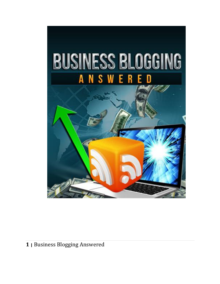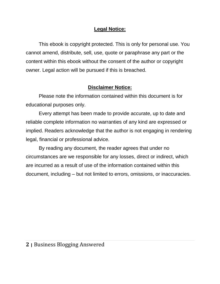# **Legal Notice:**

This ebook is copyright protected. This is only for personal use. You cannot amend, distribute, sell, use, quote or paraphrase any part or the content within this ebook without the consent of the author or copyright owner. Legal action will be pursued if this is breached.

# **Disclaimer Notice:**

Please note the information contained within this document is for educational purposes only.

Every attempt has been made to provide accurate, up to date and reliable complete information no warranties of any kind are expressed or implied. Readers acknowledge that the author is not engaging in rendering legal, financial or professional advice.

By reading any document, the reader agrees that under no circumstances are we responsible for any losses, direct or indirect, which are incurred as a result of use of the information contained within this document, including – but not limited to errors, omissions, or inaccuracies.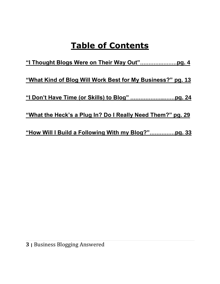# **Table of Contents**

**"I Thought Blogs Were on Their Way Out"………….………pg. 4 "What Kind of Blog Will Work Best for My Business?" pg. 13 "I Don't Have Time (or Skills) to Blog" ………………...……pg. 24 "What the Heck's a Plug In? Do I Really Need Them?" pg. 29 "How Will I Build a Following With my Blog?"……………pg. 33**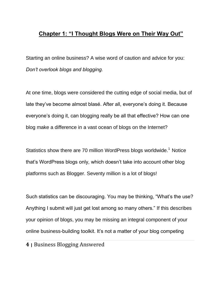# **Chapter 1: "I Thought Blogs Were on Their Way Out"**

Starting an online business? A wise word of caution and advice for you: *Don't overlook blogs and blogging.* 

At one time, blogs were considered the cutting edge of social media, but of late they've become almost blasé. After all, everyone's doing it. Because everyone's doing it, can blogging really be all that effective? How can one blog make a difference in a vast ocean of blogs on the Internet?

Statistics show there are 70 million WordPress blogs worldwide.<sup>1</sup> Notice that's WordPress blogs only, which doesn't take into account other blog platforms such as Blogger. Seventy million is a lot of blogs!

Such statistics can be discouraging. You may be thinking, "What's the use? Anything I submit will just get lost among so many others." If this describes your opinion of blogs, you may be missing an integral component of your online business-building toolkit. It's not a matter of your blog competing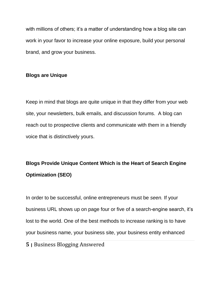with millions of others; it's a matter of understanding how a blog site can work in your favor to increase your online exposure, build your personal brand, and grow your business.

### **Blogs are Unique**

Keep in mind that blogs are quite unique in that they differ from your web site, your newsletters, bulk emails, and discussion forums. A blog can reach out to prospective clients and communicate with them in a friendly voice that is distinctively yours.

# **Blogs Provide Unique Content Which is the Heart of Search Engine Optimization (SEO)**

In order to be successful, online entrepreneurs must be *seen.* If your business URL shows up on page four or five of a search-engine search, it's lost to the world. One of the best methods to increase ranking is to have your business name, your business site, your business entity enhanced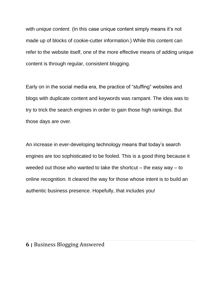with *unique content*. (In this case unique content simply means it's not made up of blocks of cookie-cutter information.) While this content can refer to the website itself, one of the more effective means of adding unique content is through regular, consistent blogging.

Early on in the social media era, the practice of "stuffing" websites and blogs with duplicate content and keywords was rampant. The idea was to try to trick the search engines in order to gain those high rankings. But those days are over.

An increase in ever-developing technology means that today's search engines are too sophisticated to be fooled. This is a good thing because it weeded out those who wanted to take the shortcut  $-$  the easy way  $-$  to online recognition. It cleared the way for those whose intent is to build an authentic business presence. Hopefully, that includes you!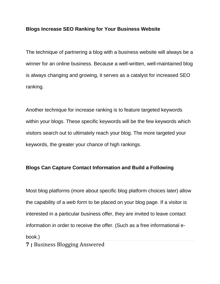### **Blogs Increase SEO Ranking for Your Business Website**

The technique of partnering a blog with a business website will always be a winner for an online business. Because a well-written, well-maintained blog is always changing and growing, it serves as a catalyst for increased SEO ranking.

Another technique for increase ranking is to feature targeted keywords within your blogs. These specific keywords will be the few keywords which visitors search out to ultimately reach your blog. The more targeted your keywords, the greater your chance of high rankings.

### **Blogs Can Capture Contact Information and Build a Following**

Most blog platforms (more about specific blog platform choices later) allow the capability of a *web form* to be placed on your blog page. If a visitor is interested in a particular business offer, they are invited to leave contact information in order to receive the offer. (Such as a free informational ebook.)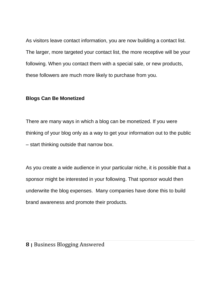As visitors leave contact information, you are now building a contact list. The larger, more targeted your contact list, the more receptive will be your following. When you contact them with a special sale, or new products, these followers are much more likely to purchase from you.

### **Blogs Can Be Monetized**

There are many ways in which a blog can be monetized. If you were thinking of your blog only as a way to get your information out to the public – start thinking outside that narrow box.

As you create a wide audience in your particular niche, it is possible that a sponsor might be interested in your following. That sponsor would then underwrite the blog expenses. Many companies have done this to build brand awareness and promote their products.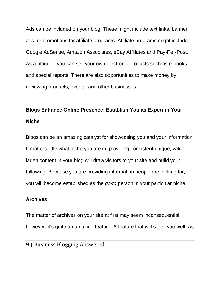Ads can be included on your blog. These might include text links, banner ads, or promotions for affiliate programs. Affiliate programs might include Google AdSense, Amazon Associates, eBay Affiliates and Pay-Per-Post. As a blogger, you can sell your own electronic products such as e-books and special reports. There are also opportunities to make money by reviewing products, events, and other businesses.

# **Blogs Enhance Online Presence; Establish You as** *Expert* **in Your Niche**

Blogs can be an amazing catalyst for showcasing you and your information. It matters little what niche you are in, providing consistent unique, valueladen content in your blog will draw visitors to your site and build your following. Because you are providing information people are looking for, you will become established as the *go-to* person in your particular niche.

### **Archives**

The matter of archives on your site at first may seem inconsequential; however, it's quite an amazing feature. A feature that will serve you well. As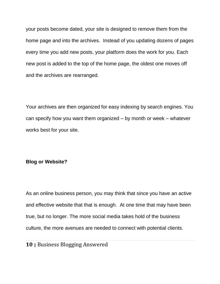your posts become dated, your site is designed to remove them from the home page and into the archives. Instead of you updating dozens of pages every time you add new posts, your platform does the work for you. Each new post is added to the top of the home page, the oldest one moves off and the archives are rearranged.

Your archives are then organized for easy indexing by search engines. You can specify how you want them organized – by month or week – whatever works best for your site.

#### **Blog or Website?**

As an online business person, you may think that since you have an active and effective website that that is enough. At one time that may have been true, but no longer. The more social media takes hold of the business culture, the more avenues are needed to connect with potential clients.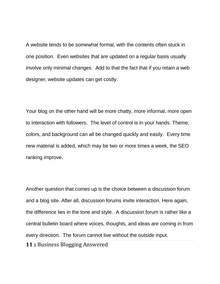A website tends to be somewhat formal, with the contents often stuck in one position. Even websites that are updated on a regular basis usually involve only minimal changes. Add to that the fact that if you retain a web designer, website updates can get costly.

Your blog on the other hand will be more chatty, more informal, more open to interaction with followers. The level of control is in your hands. Theme, colors, and background can all be changed quickly and easily. Every time new material is added, which may be two or more times a week, the SEO ranking improve.

Another question that comes up is the choice between a discussion forum and a blog site. After all, discussion forums invite interaction. Here again, the difference lies in the tone and style. A discussion forum is rather like a central bulletin board where voices, thoughts, and ideas are coming in from every direction. The forum cannot live without the outside input.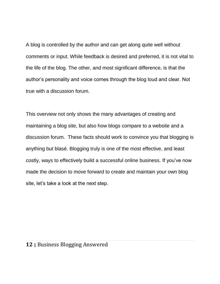A blog is controlled by the author and can get along quite well without comments or input. While feedback is desired and preferred, it is not vital to the life of the blog. The other, and most significant difference, is that the author's personality and voice comes through the blog loud and clear. Not true with a discussion forum.

This overview not only shows the many advantages of creating and maintaining a blog site, but also how blogs compare to a website and a discussion forum. These facts should work to convince you that blogging is anything but blasé. Blogging truly is one of the most effective, and least costly, ways to effectively build a successful online business. If you've now made the decision to move forward to create and maintain your own blog site, let's take a look at the next step.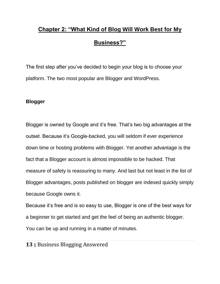# **Chapter 2: "What Kind of Blog Will Work Best for My Business?"**

The first step after you've decided to begin your blog is to choose your platform. The two most popular are Blogger and WordPress.

## **Blogger**

Blogger is owned by Google and it's free. That's two big advantages at the outset. Because it's Google-backed, you will seldom if ever experience down time or hosting problems with Blogger. Yet another advantage is the fact that a Blogger account is almost impossible to be hacked. That measure of safety is reassuring to many. And last but not least in the list of Blogger advantages, posts published on blogger are indexed quickly simply because Google owns it.

Because it's free and is so easy to use, Blogger is one of the best ways for a beginner to get started and get the feel of being an authentic blogger. You can be up and running in a matter of minutes.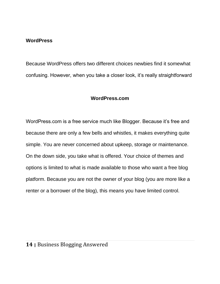### **WordPress**

Because WordPress offers two different choices newbies find it somewhat confusing. However, when you take a closer look, it's really straightforward

### **WordPress.com**

WordPress.com is a free service much like Blogger. Because it's free and because there are only a few bells and whistles, it makes everything quite simple. You are never concerned about upkeep, storage or maintenance. On the down side, you take what is offered. Your choice of themes and options is limited to what is made available to those who want a free blog platform. Because you are not the owner of your blog (you are more like a renter or a borrower of the blog), this means you have limited control.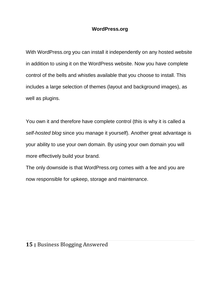## **WordPress.org**

With WordPress.org you can install it independently on any hosted website in addition to using it on the WordPress website. Now you have complete control of the bells and whistles available that you choose to install. This includes a large selection of themes (layout and background images), as well as plugins.

You own it and therefore have complete control (this is why it is called a *self-hosted blog* since you manage it yourself). Another great advantage is your ability to use your own domain. By using your own domain you will more effectively build your brand.

The only downside is that WordPress.org comes with a fee and you are now responsible for upkeep, storage and maintenance.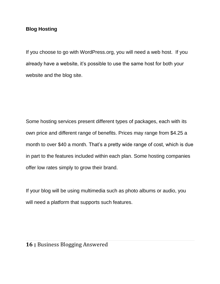# **Blog Hosting**

If you choose to go with WordPress.org, you will need a web host. If you already have a website, it's possible to use the same host for both your website and the blog site.

Some hosting services present different types of packages, each with its own price and different range of benefits. Prices may range from \$4.25 a month to over \$40 a month. That's a pretty wide range of cost, which is due in part to the features included within each plan. Some hosting companies offer low rates simply to grow their brand.

If your blog will be using multimedia such as photo albums or audio, you will need a platform that supports such features.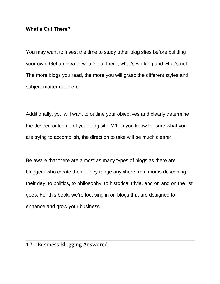### **What's Out There?**

You may want to invest the time to study other blog sites before building your own. Get an idea of what's out there; what's working and what's not. The more blogs you read, the more you will grasp the different styles and subject matter out there.

Additionally, you will want to outline your objectives and clearly determine the desired outcome of your blog site. When you know for sure what you are trying to accomplish, the direction to take will be much clearer.

Be aware that there are almost as many types of blogs as there are bloggers who create them. They range anywhere from moms describing their day, to politics, to philosophy, to historical trivia, and on and on the list goes. For this book, we're focusing in on blogs that are designed to enhance and grow your business.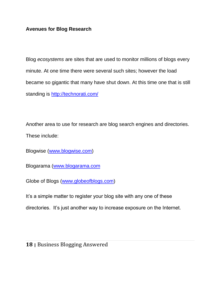# **Avenues for Blog Research**

Blog *ecosystems* are sites that are used to monitor millions of blogs every minute. At one time there were several such sites; however the load became so gigantic that many have shut down. At this time one that is still standing is<http://technorati.com/>

Another area to use for research are blog search engines and directories. These include:

Blogwise [\(www.blogwise.com\)](http://www.blogwise.com/)

Blogarama [\(www.blogarama.com](http://www.blogarama.com/)

Globe of Blogs [\(www.globeofblogs.com\)](http://www.globeofblogs.com/)

It's a simple matter to register your blog site with any one of these

directories. It's just another way to increase exposure on the Internet.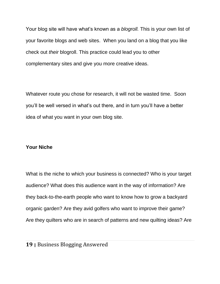Your blog site will have what's known as a *blogroll.* This is your own list of your favorite blogs and web sites. When you land on a blog that you like check out *their* blogroll. This practice could lead you to other complementary sites and give you more creative ideas.

Whatever route you chose for research, it will not be wasted time. Soon you'll be well versed in what's out there, and in turn you'll have a better idea of what you want in your own blog site.

## **Your Niche**

What is the niche to which your business is connected? Who is your target audience? What does this audience want in the way of information? Are they back-to-the-earth people who want to know how to grow a backyard organic garden? Are they avid golfers who want to improve their game? Are they quilters who are in search of patterns and new quilting ideas? Are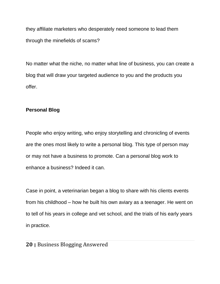they affiliate marketers who desperately need someone to lead them through the minefields of scams?

No matter what the niche, no matter what line of business, you can create a blog that will draw your targeted audience to you and the products you offer.

# **Personal Blog**

People who enjoy writing, who enjoy storytelling and chronicling of events are the ones most likely to write a personal blog. This type of person may or may not have a business to promote. Can a personal blog work to enhance a business? Indeed it can.

Case in point, a veterinarian began a blog to share with his clients events from his childhood – how he built his own aviary as a teenager. He went on to tell of his years in college and vet school, and the trials of his early years in practice.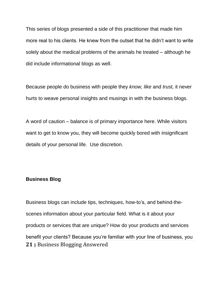This series of blogs presented a side of this practitioner that made him more real to his clients. He knew from the outset that he didn't want to write solely about the medical problems of the animals he treated – although he did include informational blogs as well.

Because people do business with people they *know, like* and *trust,* it never hurts to weave personal insights and musings in with the business blogs.

A word of caution – balance is of primary importance here. While visitors want to get to know you, they will become quickly bored with insignificant details of your personal life. Use discretion.

### **Business Blog**

**21 <sup>|</sup>**Business Blogging Answered Business blogs can include tips, techniques, how-to's, and behind-thescenes information about your particular field. What is it about your products or services that are unique? How do your products and services benefit your clients? Because you're familiar with your line of business, you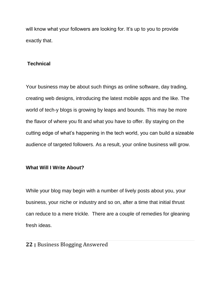will know what your followers are looking for. It's up to you to provide exactly that.

# **Technical**

Your business may be about such things as online software, day trading, creating web designs, introducing the latest mobile apps and the like. The world of tech-y blogs is growing by leaps and bounds. This may be more the flavor of where you fit and what you have to offer. By staying on the cutting edge of what's happening in the tech world, you can build a sizeable audience of targeted followers. As a result, your online business will grow.

## **What Will I Write About?**

While your blog may begin with a number of lively posts about you, your business, your niche or industry and so on, after a time that initial thrust can reduce to a mere trickle. There are a couple of remedies for gleaning fresh ideas.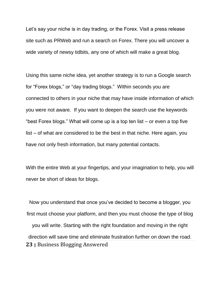Let's say your niche is in day trading, or the Forex. Visit a press release site such as PRWeb and run a search on Forex. There you will uncover a wide variety of newsy tidbits, any one of which will make a great blog.

Using this same niche idea, yet another strategy is to run a Google search for "Forex blogs," or "day trading blogs." Within seconds you are connected to others in your niche that may have inside information of which you were not aware. If you want to deepen the search use the keywords "best Forex blogs." What will come up is a top ten list – or even a top five list – of what are considered to be the best in that niche. Here again, you have not only fresh information, but many potential contacts.

With the entire Web at your fingertips, and your imagination to help, you will never be short of ideas for blogs.

**23 <sup>|</sup>**Business Blogging Answered Now you understand that once you've decided to become a blogger, you first must choose your platform, and then you must choose the type of blog you will write. Starting with the right foundation and moving in the right direction will save time and eliminate frustration further on down the road.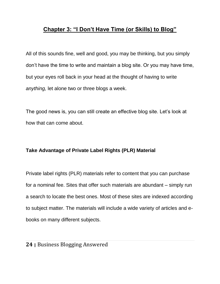# **Chapter 3: "I Don't Have Time (or Skills) to Blog"**

All of this sounds fine, well and good, you may be thinking, but you simply don't have the time to write and maintain a blog site. Or you may have time, but your eyes roll back in your head at the thought of having to write *anything,* let alone two or three blogs a week.

The good news is, you can still create an effective blog site. Let's look at how that can come about.

# **Take Advantage of Private Label Rights (PLR) Material**

Private label rights (PLR) materials refer to content that you can purchase for a nominal fee. Sites that offer such materials are abundant – simply run a search to locate the best ones. Most of these sites are indexed according to subject matter. The materials will include a wide variety of articles and ebooks on many different subjects.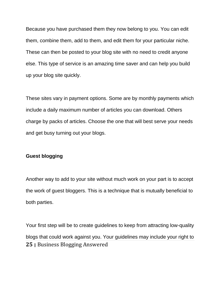Because you have purchased them they now belong to you. You can edit them, combine them, add to them, and edit them for your particular niche. These can then be posted to your blog site with no need to credit anyone else. This type of service is an amazing time saver and can help you build up your blog site quickly.

These sites vary in payment options. Some are by monthly payments which include a daily maximum number of articles you can download. Others charge by packs of articles. Choose the one that will best serve your needs and get busy turning out your blogs.

### **Guest blogging**

Another way to add to your site without much work on your part is to accept the work of guest bloggers. This is a technique that is mutually beneficial to both parties.

**25 <sup>|</sup>**Business Blogging Answered Your first step will be to create guidelines to keep from attracting low-quality blogs that could work against you. Your guidelines may include your right to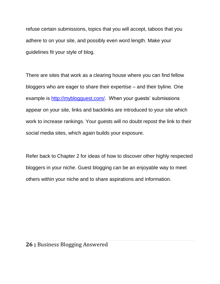refuse certain submissions, topics that you will accept, taboos that you adhere to on your site, and possibly even word length. Make your guidelines fit your style of blog.

There are sites that work as a clearing house where you can find fellow bloggers who are eager to share their expertise – and their byline. One example is [http://myblogguest.com/.](http://myblogguest.com/) When your guests' submissions appear on your site, links and backlinks are introduced to your site which work to increase rankings. Your guests will no doubt repost the link to their social media sites, which again builds your exposure.

Refer back to Chapter 2 for ideas of how to discover other highly respected bloggers in your niche. Guest blogging can be an enjoyable way to meet others within your niche and to share aspirations and information.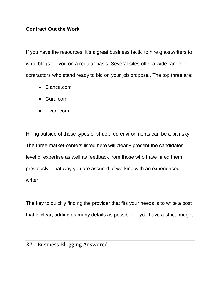## **Contract Out the Work**

If you have the resources, it's a great business tactic to hire ghostwriters to write blogs for you on a regular basis. Several sites offer a wide range of contractors who stand ready to bid on your job proposal. The top three are:

- Elance.com
- Guru.com
- Fiverr.com

Hiring outside of these types of structured environments can be a bit risky. The three market-centers listed here will clearly present the candidates' level of expertise as well as feedback from those who have hired them previously. That way you are assured of working with an experienced writer.

The key to quickly finding the provider that fits your needs is to write a post that is clear, adding as many details as possible. If you have a strict budget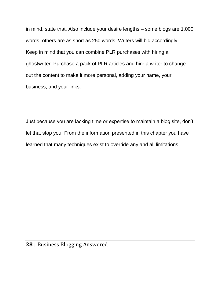in mind, state that. Also include your desire lengths – some blogs are 1,000 words, others are as short as 250 words. Writers will bid accordingly. Keep in mind that you can combine PLR purchases with hiring a ghostwriter. Purchase a pack of PLR articles and hire a writer to change out the content to make it more personal, adding your name, your business, and your links.

Just because you are lacking time or expertise to maintain a blog site, don't let that stop you. From the information presented in this chapter you have learned that many techniques exist to override any and all limitations.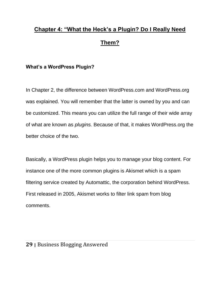# **Chapter 4: "What the Heck's a Plugin? Do I Really Need Them?**

# **What's a WordPress Plugin?**

In Chapter 2, the difference between WordPress.com and WordPress.org was explained. You will remember that the latter is owned by you and can be customized. This means you can utilize the full range of their wide array of what are known as *plugins.* Because of that, it makes WordPress.org the better choice of the two.

Basically, a WordPress plugin helps you to manage your blog content. For instance one of the more common plugins is Akismet which is a spam filtering service created by [Automattic,](http://automattic.com/) the corporation behind WordPress. First released in 2005, Akismet works to filter link spam from blog comments.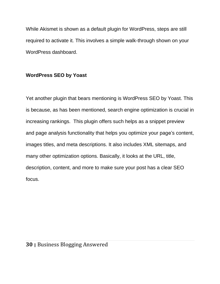While Akismet is shown as a default plugin for WordPress, steps are still required to activate it. This involves a simple walk-through shown on your WordPress dashboard.

# **WordPress SEO by Yoast**

Yet another plugin that bears mentioning is WordPress SEO by Yoast. This is because, as has been mentioned, search engine optimization is crucial in increasing rankings. This plugin offers such helps as a snippet preview and page analysis functionality that helps you optimize your page's content, images titles, and meta descriptions. It also includes XML sitemaps, and many other optimization options. Basically, it looks at the URL, title, description, content, and more to make sure your post has a clear SEO focus.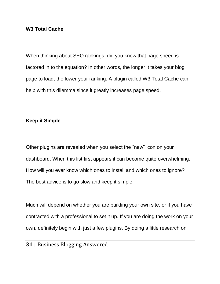### **W3 Total Cache**

When thinking about SEO rankings, did you know that page speed is factored in to the equation? In other words, the longer it takes your blog page to load, the lower your ranking. A plugin called W3 Total Cache can help with this dilemma since it greatly increases page speed.

#### **Keep it Simple**

Other plugins are revealed when you select the "new" icon on your dashboard. When this list first appears it can become quite overwhelming. How will you ever know which ones to install and which ones to ignore? The best advice is to go slow and keep it simple.

Much will depend on whether you are building your own site, or if you have contracted with a professional to set it up. If you are doing the work on your own, definitely begin with just a few plugins. By doing a little research on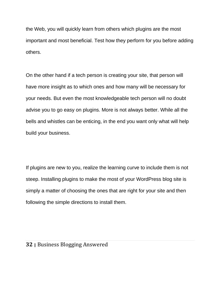the Web, you will quickly learn from others which plugins are the most important and most beneficial. Test how they perform for you before adding others.

On the other hand if a tech person is creating your site, that person will have more insight as to which ones and how many will be necessary for your needs. But even the most knowledgeable tech person will no doubt advise you to go easy on plugins. More is not always better. While all the bells and whistles can be enticing, in the end you want only what will help build your business.

If plugins are new to you, realize the learning curve to include them is not steep. Installing plugins to make the most of your WordPress blog site is simply a matter of choosing the ones that are right for your site and then following the simple directions to install them.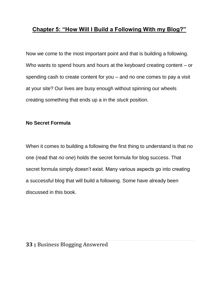# **Chapter 5: "How Will I Build a Following With my Blog?"**

Now we come to the most important point and that is building a following. Who wants to spend hours and hours at the keyboard creating content – or spending cash to create content for you – and no one comes to pay a visit at your site? Our lives are busy enough without spinning our wheels creating something that ends up a in the *stuck* position.

# **No Secret Formula**

When it comes to building a following the first thing to understand is that no one (read that *no one*) holds the secret formula for blog success. That secret formula simply doesn't exist. Many various aspects go into creating a successful blog that will build a following. Some have already been discussed in this book.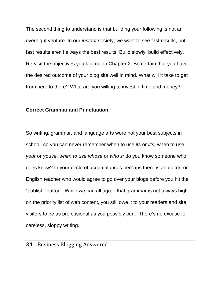The second thing to understand is that building your following is not an overnight venture. In our *instant* society, we want to see fast results, but fast results aren't always the best results. Build slowly; build effectively. Re-visit the objectives you laid out in Chapter 2. Be certain that you have the desired outcome of your blog site well in mind. What will it take to get from here to there? What are you willing to invest in time and money?

### **Correct Grammar and Punctuation**

So writing, grammar, and language arts were not your best subjects in school; so you can never remember when to use *its* or *it's,* when to use *your* or *you're, when to use whose* or *who's;* do you know someone who does know? In your circle of acquaintances perhaps there is an editor, or English teacher who would agree to go over your blogs before you hit the "publish" button. While we can all agree that grammar is not always high on the priority list of web content, you still owe it to your readers and site visitors to be as professional as you possibly can. There's no excuse for careless, sloppy writing.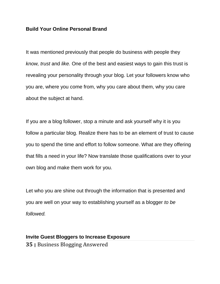### **Build Your Online Personal Brand**

It was mentioned previously that people do business with people they *know, trust* and *like.* One of the best and easiest ways to gain this trust is revealing your personality through your blog. Let your followers know who you are, where you come from, why you care about them, why you care about the subject at hand.

If you are a blog follower, stop a minute and ask yourself why it is you follow a particular blog. Realize there has to be an element of trust to cause you to spend the time and effort to follow someone. What are they offering that fills a need in your life? Now translate those qualifications over to your own blog and make them work for you.

Let who you are shine out through the information that is presented and you are well on your way to establishing yourself as a blogger *to be followed.* 

# **35 <sup>|</sup>**Business Blogging Answered **Invite Guest Bloggers to Increase Exposure**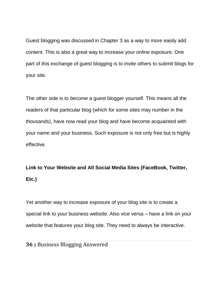Guest blogging was discussed in Chapter 3 as a way to more easily add content. This is also a great way to increase your online exposure. One part of this exchange of guest blogging is to invite others to submit blogs for your site.

The other side is to *become* a guest blogger yourself. This means all the readers of that particular blog (which for some sites may number in the thousands), have now read your blog and have become acquainted with your name and your business. Such exposure is not only free but is highly effective.

# **Link to Your Website and All Social Media Sites (FaceBook, Twitter, Etc.)**

Yet another way to increase exposure of your blog site is to create a special link to your business website. Also vice versa – have a link on your website that features your blog site. They need to always be interactive.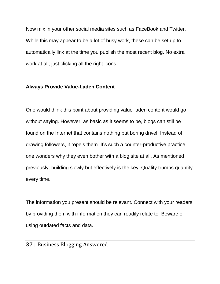Now mix in your other social media sites such as FaceBook and Twitter. While this may appear to be a lot of busy work, these can be set up to automatically link at the time you publish the most recent blog. No extra work at all; just clicking all the right icons.

### **Always Provide Value-Laden Content**

One would think this point about providing value-laden content would go without saying. However, as basic as it seems to be, blogs can still be found on the Internet that contains nothing but boring drivel. Instead of drawing followers, it repels them. It's such a counter-productive practice, one wonders why they even bother with a blog site at all. As mentioned previously, building slowly but effectively is the key. Quality trumps quantity every time.

The information you present should be relevant. Connect with your readers by providing them with information they can readily relate to. Beware of using outdated facts and data.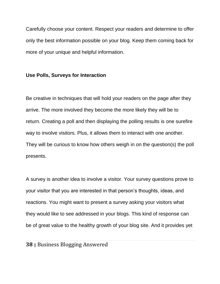Carefully choose your content. Respect your readers and determine to offer only the best information possible on your blog. Keep them coming back for more of your unique and helpful information.

### **Use Polls, Surveys for Interaction**

Be creative in techniques that will hold your readers on the page after they arrive. The more involved they become the more likely they will be to return. Creating a poll and then displaying the polling results is one surefire way to involve visitors. Plus, it allows them to interact with one another. They will be curious to know how others weigh in on the question(s) the poll presents.

A survey is another idea to involve a visitor. Your survey questions prove to your visitor that you are interested in that person's thoughts, ideas, and reactions. You might want to present a survey asking your visitors what they would like to see addressed in your blogs. This kind of response can be of great value to the healthy growth of your blog site. And it provides yet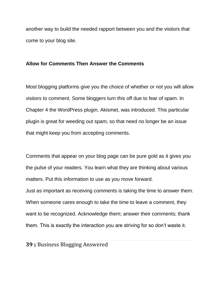another way to build the needed rapport between you and the visitors that come to your blog site.

### **Allow for Comments Then Answer the Comments**

Most blogging platforms give you the choice of whether or not you will allow visitors to comment. Some bloggers turn this off due to fear of spam. In Chapter 4 the WordPress plugin, Akismet, was introduced. This particular plugin is great for weeding out spam, so that need no longer be an issue that might keep you from accepting comments.

Comments that appear on your blog page can be pure gold as it gives you the pulse of your readers. You learn what they are thinking about various matters. Put this information to use as you move forward. Just as important as receiving comments is taking the time to answer them. When someone cares enough to take the time to leave a comment, they want to be recognized. Acknowledge them; answer their comments; thank them. This is exactly the interaction you are striving for so don't waste it.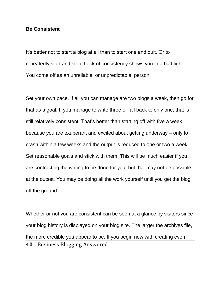#### **Be Consistent**

It's better not to start a blog at all than to start one and quit. Or to repeatedly start and stop. Lack of consistency shows you in a bad light. You come off as an unreliable, or unpredictable, person.

Set your own pace. If all you can manage are two blogs a week, then go for that as a goal. If you manage to write three or fall back to only one, that is still relatively consistent. That's better than starting off with five a week because you are exuberant and excited about getting underway – only to crash within a few weeks and the output is reduced to one or two a week. Set reasonable goals and stick with them. This will be much easier if you are contracting the writing to be done for you, but that may not be possible at the outset. You may be doing all the work yourself until you get the blog off the ground.

**40 <sup>|</sup>**Business Blogging Answered Whether or not you are consistent can be seen at a glance by visitors since your blog history is displayed on your blog site. The larger the archives file, the more credible you appear to be. If you begin now with creating even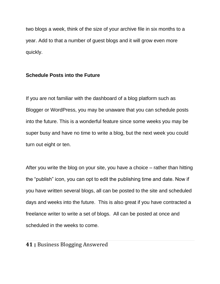two blogs a week, think of the size of your archive file in six months to a year. Add to that a number of guest blogs and it will grow even more quickly.

### **Schedule Posts into the Future**

If you are not familiar with the dashboard of a blog platform such as Blogger or WordPress, you may be unaware that you can schedule posts into the future. This is a wonderful feature since some weeks you may be super busy and have no time to write a blog, but the next week you could turn out eight or ten.

After you write the blog on your site, you have a choice – rather than hitting the "publish" icon, you can opt to edit the publishing time and date. Now if you have written several blogs, all can be posted to the site and scheduled days and weeks into the future. This is also great if you have contracted a freelance writer to write a set of blogs. All can be posted at once and scheduled in the weeks to come.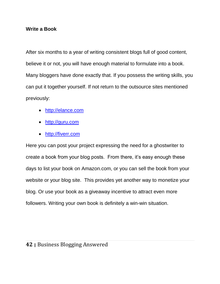### **Write a Book**

After six months to a year of writing consistent blogs full of good content, believe it or not, you will have enough material to formulate into a book. Many bloggers have done exactly that. If you possess the writing skills, you can put it together yourself. If not return to the outsource sites mentioned previously:

- [http://elance.com](http://elance.com/)
- [http://guru.com](http://guru.com/)
- [http://fiverr.com](http://fiverr.com/)

Here you can post your project expressing the need for a ghostwriter to create a book from your blog posts. From there, it's easy enough these days to list your book on Amazon.com, or you can sell the book from your website or your blog site. This provides yet another way to monetize your blog. Or use your book as a giveaway incentive to attract even more followers. Writing your own book is definitely a win-win situation.